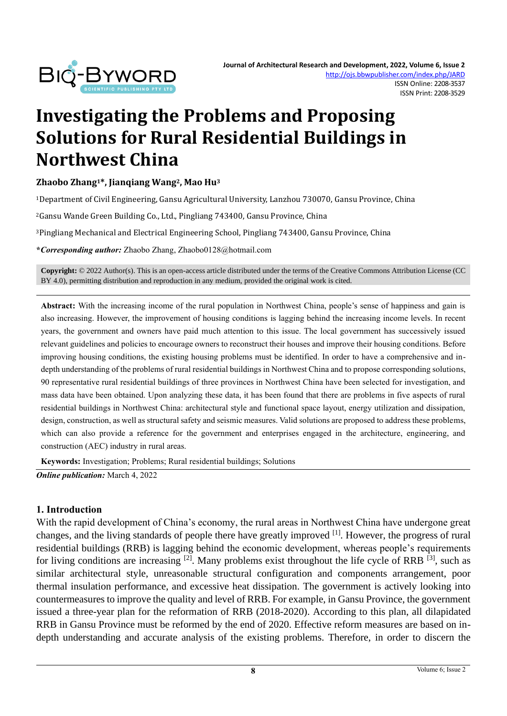

# **Investigating the Problems and Proposing Solutions for Rural Residential Buildings in Northwest China**

#### **Zhaobo Zhang1\*, Jianqiang Wang2, Mao Hu<sup>3</sup>**

<sup>1</sup>Department of Civil Engineering, Gansu Agricultural University, Lanzhou 730070, Gansu Province, China

<sup>2</sup>Gansu Wande Green Building Co., Ltd., Pingliang 743400, Gansu Province, China

<sup>3</sup>Pingliang Mechanical and Electrical Engineering School, Pingliang 743400, Gansu Province, China

**\****Corresponding author:* Zhaobo Zhang, Zhaobo0128@hotmail.com

**Copyright:** © 2022 Author(s). This is an open-access article distributed under the terms of th[e Creative Commons Attribution License \(CC](https://creativecommons.org/licenses/by/4.0/)  [BY 4.0\),](https://creativecommons.org/licenses/by/4.0/) permitting distribution and reproduction in any medium, provided the original work is cited.

**Abstract:** With the increasing income of the rural population in Northwest China, people's sense of happiness and gain is also increasing. However, the improvement of housing conditions is lagging behind the increasing income levels. In recent years, the government and owners have paid much attention to this issue. The local government has successively issued relevant guidelines and policies to encourage owners to reconstruct their houses and improve their housing conditions. Before improving housing conditions, the existing housing problems must be identified. In order to have a comprehensive and indepth understanding of the problems of rural residential buildings in Northwest China and to propose corresponding solutions, 90 representative rural residential buildings of three provinces in Northwest China have been selected for investigation, and mass data have been obtained. Upon analyzing these data, it has been found that there are problems in five aspects of rural residential buildings in Northwest China: architectural style and functional space layout, energy utilization and dissipation, design, construction, as well as structural safety and seismic measures. Valid solutions are proposed to address these problems, which can also provide a reference for the government and enterprises engaged in the architecture, engineering, and construction (AEC) industry in rural areas.

**Keywords:** Investigation; Problems; Rural residential buildings; Solutions

*Online publication:* March 4, 2022

#### **1. Introduction**

With the rapid development of China's economy, the rural areas in Northwest China have undergone great changes, and the living standards of people there have greatly improved [1]. However, the progress of rural residential buildings (RRB) is lagging behind the economic development, whereas people's requirements for living conditions are increasing  $[2]$ . Many problems exist throughout the life cycle of RRB  $[3]$ , such as similar architectural style, unreasonable structural configuration and components arrangement, poor thermal insulation performance, and excessive heat dissipation. The government is actively looking into countermeasures to improve the quality and level of RRB. For example, in Gansu Province, the government issued a three-year plan for the reformation of RRB (2018-2020). According to this plan, all dilapidated RRB in Gansu Province must be reformed by the end of 2020. Effective reform measures are based on indepth understanding and accurate analysis of the existing problems. Therefore, in order to discern the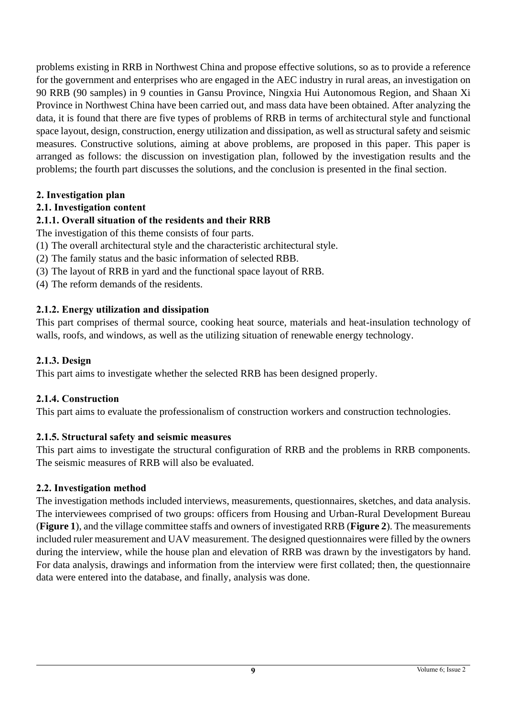problems existing in RRB in Northwest China and propose effective solutions, so as to provide a reference for the government and enterprises who are engaged in the AEC industry in rural areas, an investigation on 90 RRB (90 samples) in 9 counties in Gansu Province, Ningxia Hui Autonomous Region, and Shaan Xi Province in Northwest China have been carried out, and mass data have been obtained. After analyzing the data, it is found that there are five types of problems of RRB in terms of architectural style and functional space layout, design, construction, energy utilization and dissipation, as well as structural safety and seismic measures. Constructive solutions, aiming at above problems, are proposed in this paper. This paper is arranged as follows: the discussion on investigation plan, followed by the investigation results and the problems; the fourth part discusses the solutions, and the conclusion is presented in the final section.

## **2. Investigation plan**

## **2.1. Investigation content**

## **2.1.1. Overall situation of the residents and their RRB**

The investigation of this theme consists of four parts.

- (1) The overall architectural style and the characteristic architectural style.
- (2) The family status and the basic information of selected RBB.
- (3) The layout of RRB in yard and the functional space layout of RRB.
- (4) The reform demands of the residents.

### **2.1.2. Energy utilization and dissipation**

This part comprises of thermal source, cooking heat source, materials and heat-insulation technology of walls, roofs, and windows, as well as the utilizing situation of renewable energy technology.

#### **2.1.3. Design**

This part aims to investigate whether the selected RRB has been designed properly.

#### **2.1.4. Construction**

This part aims to evaluate the professionalism of construction workers and construction technologies.

#### **2.1.5. Structural safety and seismic measures**

This part aims to investigate the structural configuration of RRB and the problems in RRB components. The seismic measures of RRB will also be evaluated.

#### **2.2. Investigation method**

The investigation methods included interviews, measurements, questionnaires, sketches, and data analysis. The interviewees comprised of two groups: officers from Housing and Urban-Rural Development Bureau (**Figure 1**), and the village committee staffs and owners of investigated RRB (**Figure 2**). The measurements included ruler measurement and UAV measurement. The designed questionnaires were filled by the owners during the interview, while the house plan and elevation of RRB was drawn by the investigators by hand. For data analysis, drawings and information from the interview were first collated; then, the questionnaire data were entered into the database, and finally, analysis was done.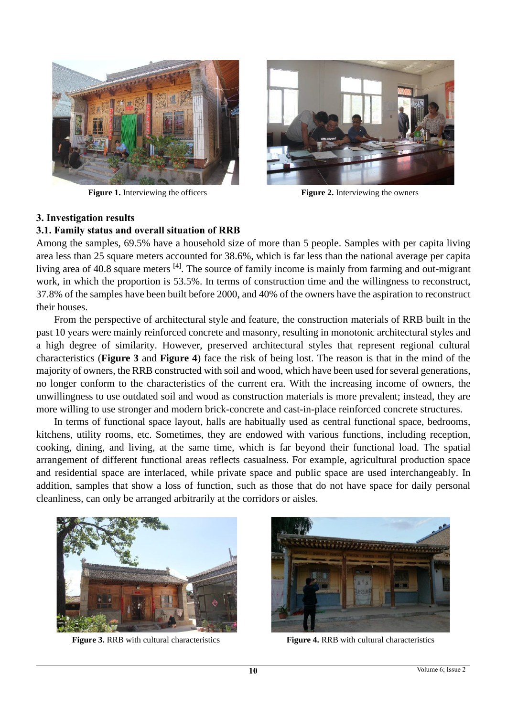

**Figure 1.** Interviewing the officers **Figure 2.** Interviewing the owners



#### **3. Investigation results**

#### **3.1. Family status and overall situation of RRB**

Among the samples, 69.5% have a household size of more than 5 people. Samples with per capita living area less than 25 square meters accounted for 38.6%, which is far less than the national average per capita living area of 40.8 square meters  $^{[4]}$ . The source of family income is mainly from farming and out-migrant work, in which the proportion is 53.5%. In terms of construction time and the willingness to reconstruct, 37.8% of the samples have been built before 2000, and 40% of the owners have the aspiration to reconstruct their houses.

From the perspective of architectural style and feature, the construction materials of RRB built in the past 10 years were mainly reinforced concrete and masonry, resulting in monotonic architectural styles and a high degree of similarity. However, preserved architectural styles that represent regional cultural characteristics (**Figure 3** and **Figure 4**) face the risk of being lost. The reason is that in the mind of the majority of owners, the RRB constructed with soil and wood, which have been used for several generations, no longer conform to the characteristics of the current era. With the increasing income of owners, the unwillingness to use outdated soil and wood as construction materials is more prevalent; instead, they are more willing to use stronger and modern brick-concrete and cast-in-place reinforced concrete structures.

In terms of functional space layout, halls are habitually used as central functional space, bedrooms, kitchens, utility rooms, etc. Sometimes, they are endowed with various functions, including reception, cooking, dining, and living, at the same time, which is far beyond their functional load. The spatial arrangement of different functional areas reflects casualness. For example, agricultural production space and residential space are interlaced, while private space and public space are used interchangeably. In addition, samples that show a loss of function, such as those that do not have space for daily personal cleanliness, can only be arranged arbitrarily at the corridors or aisles.



**Figure 3.** RRB with cultural characteristics **Figure 4.** RRB with cultural characteristics

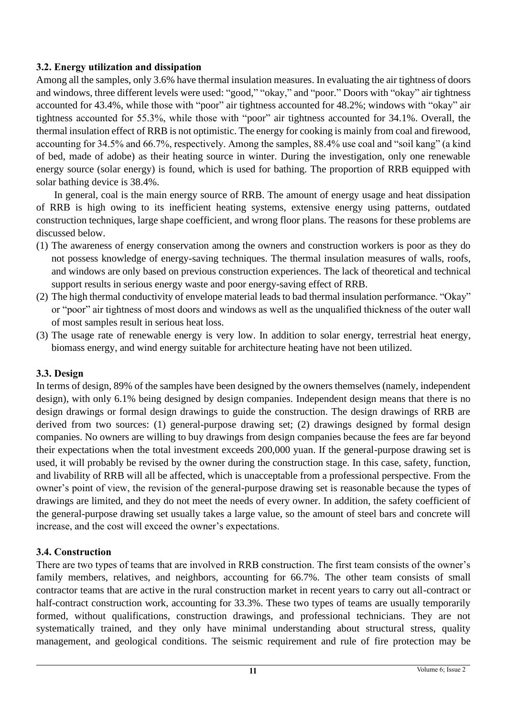## **3.2. Energy utilization and dissipation**

Among all the samples, only 3.6% have thermal insulation measures. In evaluating the air tightness of doors and windows, three different levels were used: "good," "okay," and "poor." Doors with "okay" air tightness accounted for 43.4%, while those with "poor" air tightness accounted for 48.2%; windows with "okay" air tightness accounted for 55.3%, while those with "poor" air tightness accounted for 34.1%. Overall, the thermal insulation effect of RRB is not optimistic. The energy for cooking is mainly from coal and firewood, accounting for 34.5% and 66.7%, respectively. Among the samples, 88.4% use coal and "soil kang" (a kind of bed, made of adobe) as their heating source in winter. During the investigation, only one renewable energy source (solar energy) is found, which is used for bathing. The proportion of RRB equipped with solar bathing device is 38.4%.

In general, coal is the main energy source of RRB. The amount of energy usage and heat dissipation of RRB is high owing to its inefficient heating systems, extensive energy using patterns, outdated construction techniques, large shape coefficient, and wrong floor plans. The reasons for these problems are discussed below.

- (1) The awareness of energy conservation among the owners and construction workers is poor as they do not possess knowledge of energy-saving techniques. The thermal insulation measures of walls, roofs, and windows are only based on previous construction experiences. The lack of theoretical and technical support results in serious energy waste and poor energy-saving effect of RRB.
- (2) The high thermal conductivity of envelope material leads to bad thermal insulation performance. "Okay" or "poor" air tightness of most doors and windows as well as the unqualified thickness of the outer wall of most samples result in serious heat loss.
- (3) The usage rate of renewable energy is very low. In addition to solar energy, terrestrial heat energy, biomass energy, and wind energy suitable for architecture heating have not been utilized.

### **3.3. Design**

In terms of design, 89% of the samples have been designed by the owners themselves (namely, independent design), with only 6.1% being designed by design companies. Independent design means that there is no design drawings or formal design drawings to guide the construction. The design drawings of RRB are derived from two sources: (1) general-purpose drawing set; (2) drawings designed by formal design companies. No owners are willing to buy drawings from design companies because the fees are far beyond their expectations when the total investment exceeds 200,000 yuan. If the general-purpose drawing set is used, it will probably be revised by the owner during the construction stage. In this case, safety, function, and livability of RRB will all be affected, which is unacceptable from a professional perspective. From the owner's point of view, the revision of the general-purpose drawing set is reasonable because the types of drawings are limited, and they do not meet the needs of every owner. In addition, the safety coefficient of the general-purpose drawing set usually takes a large value, so the amount of steel bars and concrete will increase, and the cost will exceed the owner's expectations.

### **3.4. Construction**

There are two types of teams that are involved in RRB construction. The first team consists of the owner's family members, relatives, and neighbors, accounting for 66.7%. The other team consists of small contractor teams that are active in the rural construction market in recent years to carry out all-contract or half-contract construction work, accounting for 33.3%. These two types of teams are usually temporarily formed, without qualifications, construction drawings, and professional technicians. They are not systematically trained, and they only have minimal understanding about structural stress, quality management, and geological conditions. The seismic requirement and rule of fire protection may be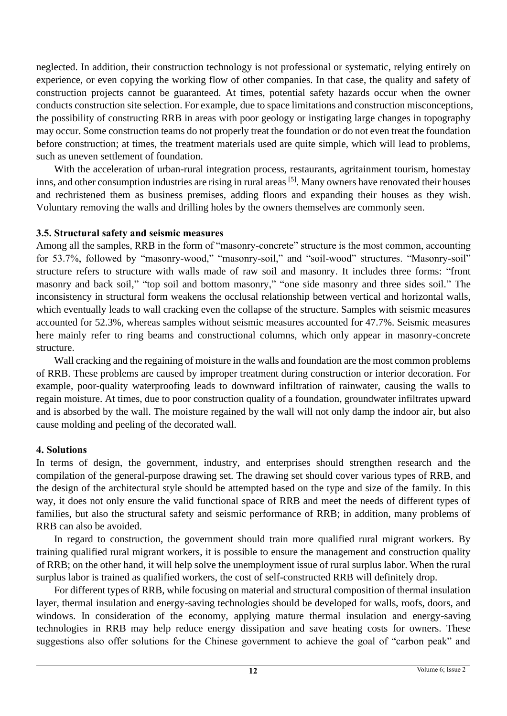neglected. In addition, their construction technology is not professional or systematic, relying entirely on experience, or even copying the working flow of other companies. In that case, the quality and safety of construction projects cannot be guaranteed. At times, potential safety hazards occur when the owner conducts construction site selection. For example, due to space limitations and construction misconceptions, the possibility of constructing RRB in areas with poor geology or instigating large changes in topography may occur. Some construction teams do not properly treat the foundation or do not even treat the foundation before construction; at times, the treatment materials used are quite simple, which will lead to problems, such as uneven settlement of foundation.

With the acceleration of urban-rural integration process, restaurants, agritainment tourism, homestay inns, and other consumption industries are rising in rural areas [5]. Many owners have renovated their houses and rechristened them as business premises, adding floors and expanding their houses as they wish. Voluntary removing the walls and drilling holes by the owners themselves are commonly seen.

#### **3.5. Structural safety and seismic measures**

Among all the samples, RRB in the form of "masonry-concrete" structure is the most common, accounting for 53.7%, followed by "masonry-wood," "masonry-soil," and "soil-wood" structures. "Masonry-soil" structure refers to structure with walls made of raw soil and masonry. It includes three forms: "front masonry and back soil," "top soil and bottom masonry," "one side masonry and three sides soil." The inconsistency in structural form weakens the occlusal relationship between vertical and horizontal walls, which eventually leads to wall cracking even the collapse of the structure. Samples with seismic measures accounted for 52.3%, whereas samples without seismic measures accounted for 47.7%. Seismic measures here mainly refer to ring beams and constructional columns, which only appear in masonry-concrete structure.

Wall cracking and the regaining of moisture in the walls and foundation are the most common problems of RRB. These problems are caused by improper treatment during construction or interior decoration. For example, poor-quality waterproofing leads to downward infiltration of rainwater, causing the walls to regain moisture. At times, due to poor construction quality of a foundation, groundwater infiltrates upward and is absorbed by the wall. The moisture regained by the wall will not only damp the indoor air, but also cause molding and peeling of the decorated wall.

### **4. Solutions**

In terms of design, the government, industry, and enterprises should strengthen research and the compilation of the general-purpose drawing set. The drawing set should cover various types of RRB, and the design of the architectural style should be attempted based on the type and size of the family. In this way, it does not only ensure the valid functional space of RRB and meet the needs of different types of families, but also the structural safety and seismic performance of RRB; in addition, many problems of RRB can also be avoided.

In regard to construction, the government should train more qualified rural migrant workers. By training qualified rural migrant workers, it is possible to ensure the management and construction quality of RRB; on the other hand, it will help solve the unemployment issue of rural surplus labor. When the rural surplus labor is trained as qualified workers, the cost of self-constructed RRB will definitely drop.

For different types of RRB, while focusing on material and structural composition of thermal insulation layer, thermal insulation and energy-saving technologies should be developed for walls, roofs, doors, and windows. In consideration of the economy, applying mature thermal insulation and energy-saving technologies in RRB may help reduce energy dissipation and save heating costs for owners. These suggestions also offer solutions for the Chinese government to achieve the goal of "carbon peak" and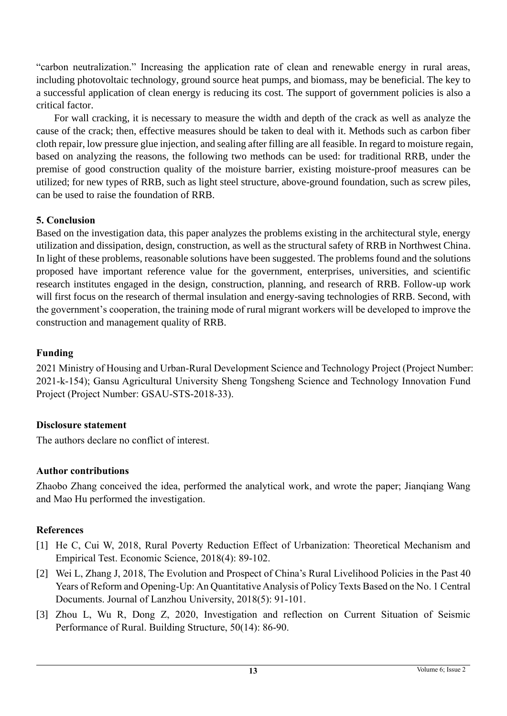"carbon neutralization." Increasing the application rate of clean and renewable energy in rural areas, including photovoltaic technology, ground source heat pumps, and biomass, may be beneficial. The key to a successful application of clean energy is reducing its cost. The support of government policies is also a critical factor.

For wall cracking, it is necessary to measure the width and depth of the crack as well as analyze the cause of the crack; then, effective measures should be taken to deal with it. Methods such as carbon fiber cloth repair, low pressure glue injection, and sealing after filling are all feasible. In regard to moisture regain, based on analyzing the reasons, the following two methods can be used: for traditional RRB, under the premise of good construction quality of the moisture barrier, existing moisture-proof measures can be utilized; for new types of RRB, such as light steel structure, above-ground foundation, such as screw piles, can be used to raise the foundation of RRB.

## **5. Conclusion**

Based on the investigation data, this paper analyzes the problems existing in the architectural style, energy utilization and dissipation, design, construction, as well as the structural safety of RRB in Northwest China. In light of these problems, reasonable solutions have been suggested. The problems found and the solutions proposed have important reference value for the government, enterprises, universities, and scientific research institutes engaged in the design, construction, planning, and research of RRB. Follow-up work will first focus on the research of thermal insulation and energy-saving technologies of RRB. Second, with the government's cooperation, the training mode of rural migrant workers will be developed to improve the construction and management quality of RRB.

## **Funding**

2021 Ministry of Housing and Urban-Rural Development Science and Technology Project (Project Number: 2021-k-154); Gansu Agricultural University Sheng Tongsheng Science and Technology Innovation Fund Project (Project Number: GSAU-STS-2018-33).

## **Disclosure statement**

The authors declare no conflict of interest.

## **Author contributions**

Zhaobo Zhang conceived the idea, performed the analytical work, and wrote the paper; Jianqiang Wang and Mao Hu performed the investigation.

# **References**

- [1] He C, Cui W, 2018, Rural Poverty Reduction Effect of Urbanization: Theoretical Mechanism and Empirical Test. Economic Science, 2018(4): 89-102.
- [2] Wei L, Zhang J, 2018, The Evolution and Prospect of China's Rural Livelihood Policies in the Past 40 Years of Reform and Opening-Up: An Quantitative Analysis of Policy Texts Based on the No. 1 Central Documents. Journal of Lanzhou University, 2018(5): 91-101.
- [3] Zhou L, Wu R, Dong Z, 2020, Investigation and reflection on Current Situation of Seismic Performance of Rural. Building Structure, 50(14): 86-90.